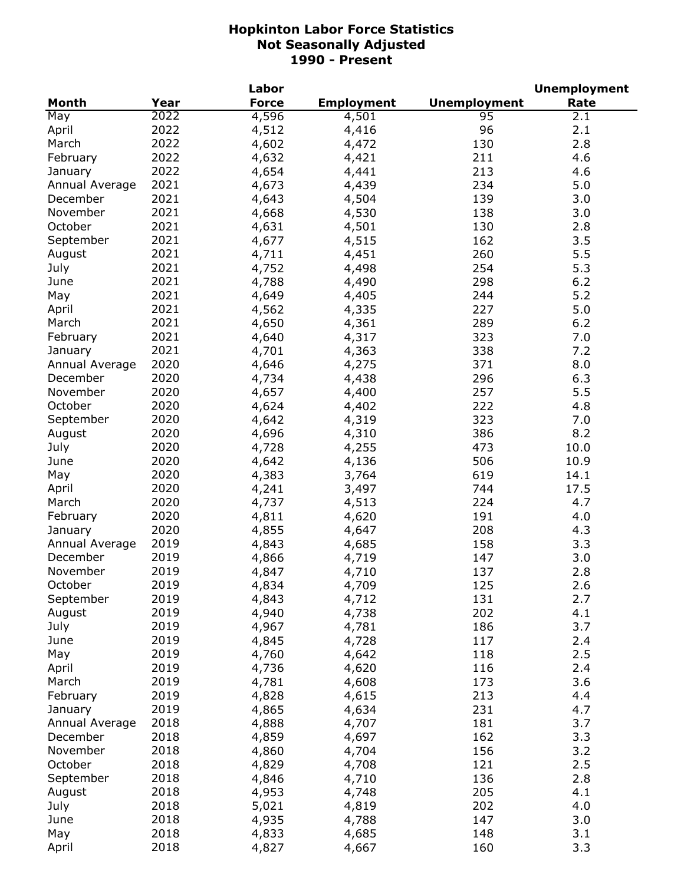|                |      | Labor        |                   |                     | <b>Unemployment</b> |
|----------------|------|--------------|-------------------|---------------------|---------------------|
| <b>Month</b>   | Year | <b>Force</b> | <b>Employment</b> | <b>Unemployment</b> | Rate                |
| May            | 2022 | 4,596        | 4,501             | 95                  | 2.1                 |
| April          | 2022 | 4,512        | 4,416             | 96                  | 2.1                 |
| March          | 2022 | 4,602        | 4,472             | 130                 | 2.8                 |
| February       | 2022 | 4,632        | 4,421             | 211                 | 4.6                 |
| January        | 2022 | 4,654        | 4,441             | 213                 | 4.6                 |
| Annual Average | 2021 | 4,673        | 4,439             | 234                 | 5.0                 |
| December       | 2021 | 4,643        | 4,504             | 139                 | 3.0                 |
| November       | 2021 | 4,668        | 4,530             | 138                 | 3.0                 |
| October        | 2021 | 4,631        | 4,501             | 130                 | 2.8                 |
| September      | 2021 | 4,677        | 4,515             | 162                 | 3.5                 |
|                | 2021 |              |                   | 260                 | 5.5                 |
| August         | 2021 | 4,711        | 4,451             |                     |                     |
| July           |      | 4,752        | 4,498             | 254                 | 5.3                 |
| June           | 2021 | 4,788        | 4,490             | 298                 | $6.2$               |
| May            | 2021 | 4,649        | 4,405             | 244                 | 5.2                 |
| April          | 2021 | 4,562        | 4,335             | 227                 | 5.0                 |
| March          | 2021 | 4,650        | 4,361             | 289                 | 6.2                 |
| February       | 2021 | 4,640        | 4,317             | 323                 | 7.0                 |
| January        | 2021 | 4,701        | 4,363             | 338                 | 7.2                 |
| Annual Average | 2020 | 4,646        | 4,275             | 371                 | 8.0                 |
| December       | 2020 | 4,734        | 4,438             | 296                 | 6.3                 |
| November       | 2020 | 4,657        | 4,400             | 257                 | 5.5                 |
| October        | 2020 | 4,624        | 4,402             | 222                 | 4.8                 |
| September      | 2020 | 4,642        | 4,319             | 323                 | 7.0                 |
| August         | 2020 | 4,696        | 4,310             | 386                 | 8.2                 |
| July           | 2020 | 4,728        | 4,255             | 473                 | 10.0                |
| June           | 2020 | 4,642        | 4,136             | 506                 | 10.9                |
| May            | 2020 | 4,383        | 3,764             | 619                 | 14.1                |
| April          | 2020 | 4,241        | 3,497             | 744                 | 17.5                |
| March          | 2020 | 4,737        | 4,513             | 224                 | 4.7                 |
| February       | 2020 | 4,811        | 4,620             | 191                 | 4.0                 |
| January        | 2020 | 4,855        | 4,647             | 208                 | 4.3                 |
| Annual Average | 2019 | 4,843        | 4,685             | 158                 | 3.3                 |
| December       | 2019 | 4,866        | 4,719             | 147                 | 3.0                 |
| November       | 2019 | 4,847        | 4,710             | 137                 | 2.8                 |
| October        | 2019 | 4,834        | 4,709             | 125                 | 2.6                 |
| September      | 2019 | 4,843        | 4,712             | 131                 | 2.7                 |
| August         | 2019 | 4,940        | 4,738             | 202                 | 4.1                 |
| July           | 2019 | 4,967        | 4,781             | 186                 | 3.7                 |
| June           | 2019 | 4,845        | 4,728             | 117                 | 2.4                 |
| May            | 2019 | 4,760        | 4,642             | 118                 | 2.5                 |
|                | 2019 |              | 4,620             |                     |                     |
| April<br>March |      | 4,736        |                   | 116                 | 2.4                 |
|                | 2019 | 4,781        | 4,608             | 173                 | 3.6                 |
| February       | 2019 | 4,828        | 4,615             | 213                 | 4.4                 |
| January        | 2019 | 4,865        | 4,634             | 231                 | 4.7                 |
| Annual Average | 2018 | 4,888        | 4,707             | 181                 | 3.7                 |
| December       | 2018 | 4,859        | 4,697             | 162                 | 3.3                 |
| November       | 2018 | 4,860        | 4,704             | 156                 | 3.2                 |
| October        | 2018 | 4,829        | 4,708             | 121                 | 2.5                 |
| September      | 2018 | 4,846        | 4,710             | 136                 | 2.8                 |
| August         | 2018 | 4,953        | 4,748             | 205                 | 4.1                 |
| July           | 2018 | 5,021        | 4,819             | 202                 | 4.0                 |
| June           | 2018 | 4,935        | 4,788             | 147                 | 3.0                 |
| May            | 2018 | 4,833        | 4,685             | 148                 | 3.1                 |
| April          | 2018 | 4,827        | 4,667             | 160                 | 3.3                 |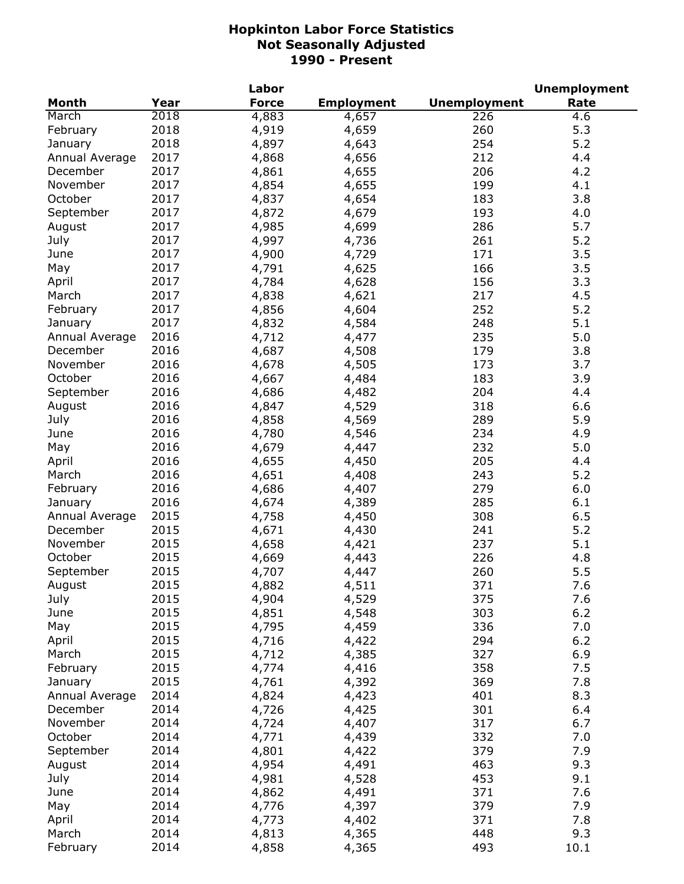|                |      | Labor        |                   |                     | <b>Unemployment</b> |
|----------------|------|--------------|-------------------|---------------------|---------------------|
| <b>Month</b>   | Year | <b>Force</b> | <b>Employment</b> | <b>Unemployment</b> | Rate                |
| March          | 2018 | 4,883        | 4,657             | 226                 | 4.6                 |
| February       | 2018 | 4,919        | 4,659             | 260                 | 5.3                 |
| January        | 2018 | 4,897        | 4,643             | 254                 | 5.2                 |
| Annual Average | 2017 | 4,868        | 4,656             | 212                 | 4.4                 |
| December       | 2017 | 4,861        | 4,655             | 206                 | 4.2                 |
| November       | 2017 | 4,854        | 4,655             | 199                 | 4.1                 |
| October        | 2017 | 4,837        | 4,654             | 183                 | 3.8                 |
| September      | 2017 | 4,872        | 4,679             | 193                 | 4.0                 |
| August         | 2017 | 4,985        | 4,699             | 286                 | 5.7                 |
| July           | 2017 | 4,997        | 4,736             | 261                 | 5.2                 |
| June           | 2017 | 4,900        | 4,729             | 171                 | 3.5                 |
|                | 2017 | 4,791        |                   |                     |                     |
| May            |      |              | 4,625             | 166                 | 3.5                 |
| April          | 2017 | 4,784        | 4,628             | 156                 | 3.3                 |
| March          | 2017 | 4,838        | 4,621             | 217                 | 4.5                 |
| February       | 2017 | 4,856        | 4,604             | 252                 | 5.2                 |
| January        | 2017 | 4,832        | 4,584             | 248                 | 5.1                 |
| Annual Average | 2016 | 4,712        | 4,477             | 235                 | 5.0                 |
| December       | 2016 | 4,687        | 4,508             | 179                 | 3.8                 |
| November       | 2016 | 4,678        | 4,505             | 173                 | 3.7                 |
| October        | 2016 | 4,667        | 4,484             | 183                 | 3.9                 |
| September      | 2016 | 4,686        | 4,482             | 204                 | 4.4                 |
| August         | 2016 | 4,847        | 4,529             | 318                 | 6.6                 |
| July           | 2016 | 4,858        | 4,569             | 289                 | 5.9                 |
| June           | 2016 | 4,780        | 4,546             | 234                 | 4.9                 |
| May            | 2016 | 4,679        | 4,447             | 232                 | 5.0                 |
| April          | 2016 | 4,655        | 4,450             | 205                 | 4.4                 |
| March          | 2016 | 4,651        | 4,408             | 243                 | 5.2                 |
| February       | 2016 | 4,686        | 4,407             | 279                 | 6.0                 |
| January        | 2016 | 4,674        | 4,389             | 285                 | 6.1                 |
| Annual Average | 2015 | 4,758        | 4,450             | 308                 | 6.5                 |
| December       | 2015 | 4,671        | 4,430             | 241                 | 5.2                 |
| November       | 2015 | 4,658        | 4,421             | 237                 | 5.1                 |
| October        | 2015 | 4,669        | 4,443             | 226                 | 4.8                 |
| September      | 2015 | 4,707        | 4,447             | 260                 | 5.5                 |
|                | 2015 | 4,882        |                   | 371                 | 7.6                 |
| August<br>July | 2015 |              | 4,511<br>4,529    | 375                 |                     |
| June           | 2015 | 4,904        |                   | 303                 | 7.6<br>6.2          |
|                | 2015 | 4,851        | 4,548             |                     |                     |
| May            |      | 4,795        | 4,459             | 336                 | 7.0<br>6.2          |
| April          | 2015 | 4,716        | 4,422             | 294                 |                     |
| March          | 2015 | 4,712        | 4,385             | 327                 | 6.9                 |
| February       | 2015 | 4,774        | 4,416             | 358                 | 7.5                 |
| January        | 2015 | 4,761        | 4,392             | 369                 | 7.8                 |
| Annual Average | 2014 | 4,824        | 4,423             | 401                 | 8.3                 |
| December       | 2014 | 4,726        | 4,425             | 301                 | 6.4                 |
| November       | 2014 | 4,724        | 4,407             | 317                 | 6.7                 |
| October        | 2014 | 4,771        | 4,439             | 332                 | 7.0                 |
| September      | 2014 | 4,801        | 4,422             | 379                 | 7.9                 |
| August         | 2014 | 4,954        | 4,491             | 463                 | 9.3                 |
| July           | 2014 | 4,981        | 4,528             | 453                 | 9.1                 |
| June           | 2014 | 4,862        | 4,491             | 371                 | 7.6                 |
| May            | 2014 | 4,776        | 4,397             | 379                 | 7.9                 |
| April          | 2014 | 4,773        | 4,402             | 371                 | 7.8                 |
| March          | 2014 | 4,813        | 4,365             | 448                 | 9.3                 |
| February       | 2014 | 4,858        | 4,365             | 493                 | 10.1                |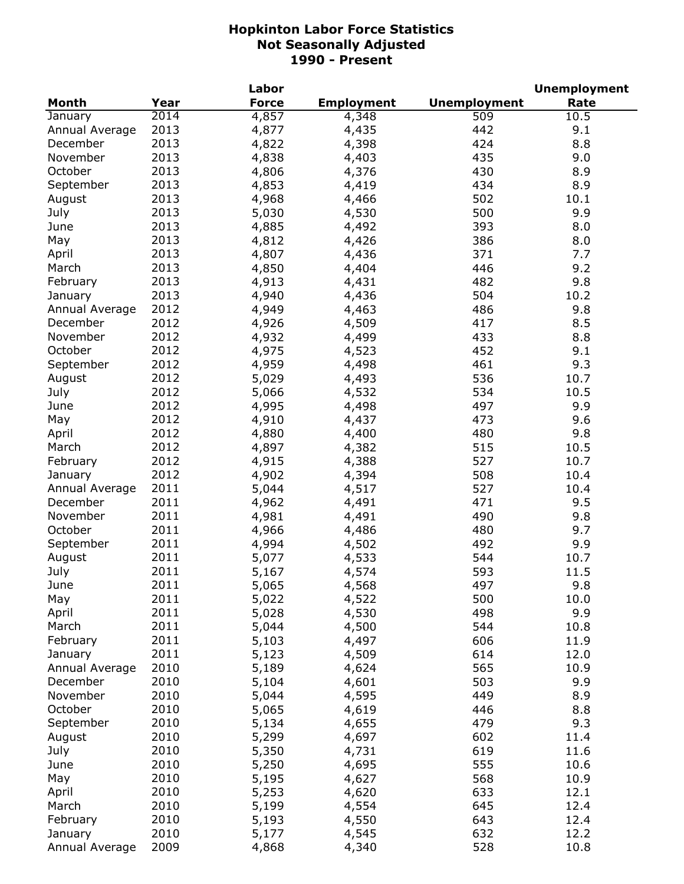|                |      | Labor        |                   |                     | <b>Unemployment</b> |
|----------------|------|--------------|-------------------|---------------------|---------------------|
| <b>Month</b>   | Year | <b>Force</b> | <b>Employment</b> | <b>Unemployment</b> | Rate                |
| January        | 2014 | 4,857        | 4,348             | 509                 | 10.5                |
| Annual Average | 2013 | 4,877        | 4,435             | 442                 | 9.1                 |
| December       | 2013 | 4,822        | 4,398             | 424                 | 8.8                 |
| November       | 2013 | 4,838        | 4,403             | 435                 | 9.0                 |
| October        | 2013 | 4,806        | 4,376             | 430                 | 8.9                 |
| September      | 2013 | 4,853        | 4,419             | 434                 | 8.9                 |
| August         | 2013 | 4,968        | 4,466             | 502                 | 10.1                |
| July           | 2013 | 5,030        | 4,530             | 500                 | 9.9                 |
| June           | 2013 | 4,885        | 4,492             | 393                 | 8.0                 |
| May            | 2013 | 4,812        | 4,426             | 386                 | 8.0                 |
| April          | 2013 | 4,807        | 4,436             | 371                 | 7.7                 |
| March          | 2013 | 4,850        | 4,404             | 446                 | 9.2                 |
|                | 2013 | 4,913        |                   | 482                 | 9.8                 |
| February       |      |              | 4,431             |                     |                     |
| January        | 2013 | 4,940        | 4,436             | 504                 | 10.2                |
| Annual Average | 2012 | 4,949        | 4,463             | 486                 | 9.8                 |
| December       | 2012 | 4,926        | 4,509             | 417                 | 8.5                 |
| November       | 2012 | 4,932        | 4,499             | 433                 | 8.8                 |
| October        | 2012 | 4,975        | 4,523             | 452                 | 9.1                 |
| September      | 2012 | 4,959        | 4,498             | 461                 | 9.3                 |
| August         | 2012 | 5,029        | 4,493             | 536                 | 10.7                |
| July           | 2012 | 5,066        | 4,532             | 534                 | 10.5                |
| June           | 2012 | 4,995        | 4,498             | 497                 | 9.9                 |
| May            | 2012 | 4,910        | 4,437             | 473                 | 9.6                 |
| April          | 2012 | 4,880        | 4,400             | 480                 | 9.8                 |
| March          | 2012 | 4,897        | 4,382             | 515                 | 10.5                |
| February       | 2012 | 4,915        | 4,388             | 527                 | 10.7                |
| January        | 2012 | 4,902        | 4,394             | 508                 | 10.4                |
| Annual Average | 2011 | 5,044        | 4,517             | 527                 | 10.4                |
| December       | 2011 | 4,962        | 4,491             | 471                 | 9.5                 |
| November       | 2011 | 4,981        | 4,491             | 490                 | 9.8                 |
| October        | 2011 | 4,966        | 4,486             | 480                 | 9.7                 |
| September      | 2011 | 4,994        | 4,502             | 492                 | 9.9                 |
| August         | 2011 | 5,077        | 4,533             | 544                 | 10.7                |
| July           | 2011 | 5,167        | 4,574             | 593                 | 11.5                |
| June           | 2011 | 5,065        | 4,568             | 497                 | 9.8                 |
| May            | 2011 | 5,022        | 4,522             | 500                 | 10.0                |
| April          | 2011 | 5,028        | 4,530             | 498                 | 9.9                 |
| March          | 2011 | 5,044        | 4,500             | 544                 | 10.8                |
| February       | 2011 | 5,103        | 4,497             | 606                 | 11.9                |
| January        | 2011 | 5,123        | 4,509             | 614                 | 12.0                |
| Annual Average | 2010 | 5,189        | 4,624             | 565                 | 10.9                |
| December       | 2010 | 5,104        | 4,601             | 503                 | 9.9                 |
| November       | 2010 | 5,044        | 4,595             | 449                 | 8.9                 |
| October        | 2010 | 5,065        | 4,619             | 446                 | 8.8                 |
|                | 2010 |              |                   | 479                 |                     |
| September      |      | 5,134        | 4,655             |                     | 9.3                 |
| August         | 2010 | 5,299        | 4,697             | 602                 | 11.4                |
| July           | 2010 | 5,350        | 4,731             | 619                 | 11.6                |
| June           | 2010 | 5,250        | 4,695             | 555                 | 10.6                |
| May            | 2010 | 5,195        | 4,627             | 568                 | 10.9                |
| April          | 2010 | 5,253        | 4,620             | 633                 | 12.1                |
| March          | 2010 | 5,199        | 4,554             | 645                 | 12.4                |
| February       | 2010 | 5,193        | 4,550             | 643                 | 12.4                |
| January        | 2010 | 5,177        | 4,545             | 632                 | 12.2                |
| Annual Average | 2009 | 4,868        | 4,340             | 528                 | 10.8                |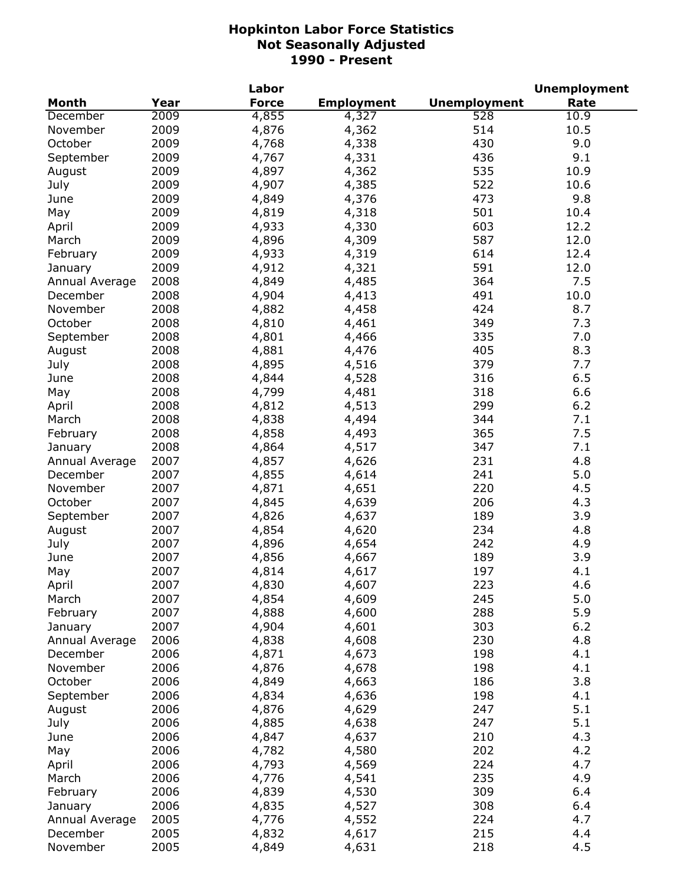|                |      | Labor        |                   |                     | <b>Unemployment</b> |
|----------------|------|--------------|-------------------|---------------------|---------------------|
| <b>Month</b>   | Year | <b>Force</b> | <b>Employment</b> | <b>Unemployment</b> | Rate                |
| December       | 2009 | 4,855        | 4,327             | 528                 | 10.9                |
| November       | 2009 | 4,876        | 4,362             | 514                 | 10.5                |
| October        | 2009 | 4,768        | 4,338             | 430                 | 9.0                 |
| September      | 2009 | 4,767        | 4,331             | 436                 | 9.1                 |
| August         | 2009 | 4,897        | 4,362             | 535                 | 10.9                |
| July           | 2009 | 4,907        | 4,385             | 522                 | 10.6                |
| June           | 2009 | 4,849        | 4,376             | 473                 | 9.8                 |
| May            | 2009 | 4,819        | 4,318             | 501                 | 10.4                |
| April          | 2009 | 4,933        | 4,330             | 603                 | 12.2                |
| March          | 2009 | 4,896        | 4,309             | 587                 | 12.0                |
| February       | 2009 | 4,933        | 4,319             | 614                 | 12.4                |
| January        | 2009 | 4,912        | 4,321             | 591                 | 12.0                |
| Annual Average | 2008 | 4,849        | 4,485             | 364                 | 7.5                 |
| December       | 2008 | 4,904        | 4,413             | 491                 | 10.0                |
| November       | 2008 | 4,882        | 4,458             | 424                 | 8.7                 |
| October        | 2008 | 4,810        | 4,461             | 349                 | 7.3                 |
| September      | 2008 | 4,801        | 4,466             | 335                 | 7.0                 |
| August         | 2008 | 4,881        | 4,476             | 405                 | 8.3                 |
| July           | 2008 | 4,895        | 4,516             | 379                 | 7.7                 |
| June           | 2008 | 4,844        | 4,528             | 316                 | 6.5                 |
| May            | 2008 | 4,799        | 4,481             | 318                 | 6.6                 |
| April          | 2008 | 4,812        | 4,513             | 299                 | 6.2                 |
| March          | 2008 | 4,838        | 4,494             | 344                 | 7.1                 |
|                | 2008 | 4,858        | 4,493             | 365                 | 7.5                 |
| February       |      |              |                   |                     |                     |
| January        | 2008 | 4,864        | 4,517             | 347                 | 7.1                 |
| Annual Average | 2007 | 4,857        | 4,626             | 231                 | 4.8                 |
| December       | 2007 | 4,855        | 4,614             | 241                 | 5.0                 |
| November       | 2007 | 4,871        | 4,651             | 220                 | 4.5                 |
| October        | 2007 | 4,845        | 4,639             | 206                 | 4.3                 |
| September      | 2007 | 4,826        | 4,637             | 189                 | 3.9                 |
| August         | 2007 | 4,854        | 4,620             | 234                 | 4.8                 |
| July           | 2007 | 4,896        | 4,654             | 242                 | 4.9                 |
| June           | 2007 | 4,856        | 4,667             | 189                 | 3.9                 |
| May            | 2007 | 4,814        | 4,617             | 197                 | 4.1                 |
| April          | 2007 | 4,830        | 4,607             | 223                 | 4.6                 |
| March          | 2007 | 4,854        | 4,609             | 245                 | 5.0                 |
| February       | 2007 | 4,888        | 4,600             | 288                 | 5.9                 |
| January        | 2007 | 4,904        | 4,601             | 303                 | $6.2$               |
| Annual Average | 2006 | 4,838        | 4,608             | 230                 | 4.8                 |
| December       | 2006 | 4,871        | 4,673             | 198                 | 4.1                 |
| November       | 2006 | 4,876        | 4,678             | 198                 | 4.1                 |
| October        | 2006 | 4,849        | 4,663             | 186                 | 3.8                 |
| September      | 2006 | 4,834        | 4,636             | 198                 | 4.1                 |
| August         | 2006 | 4,876        | 4,629             | 247                 | 5.1                 |
| July           | 2006 | 4,885        | 4,638             | 247                 | 5.1                 |
| June           | 2006 | 4,847        | 4,637             | 210                 | 4.3                 |
| May            | 2006 | 4,782        | 4,580             | 202                 | 4.2                 |
| April          | 2006 | 4,793        | 4,569             | 224                 | 4.7                 |
| March          | 2006 | 4,776        | 4,541             | 235                 | 4.9                 |
| February       | 2006 | 4,839        | 4,530             | 309                 | 6.4                 |
| January        | 2006 | 4,835        | 4,527             | 308                 | 6.4                 |
| Annual Average | 2005 | 4,776        | 4,552             | 224                 | 4.7                 |
| December       | 2005 | 4,832        | 4,617             | 215                 | 4.4                 |
| November       | 2005 | 4,849        | 4,631             | 218                 | 4.5                 |
|                |      |              |                   |                     |                     |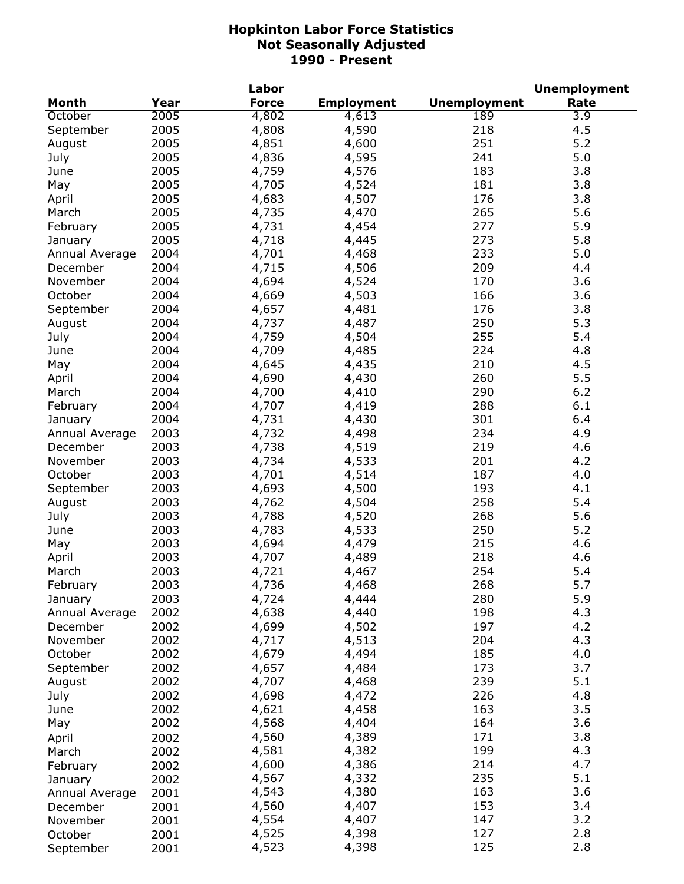|                |      | Labor        |                   |                     | <b>Unemployment</b> |
|----------------|------|--------------|-------------------|---------------------|---------------------|
| <b>Month</b>   | Year | <b>Force</b> | <b>Employment</b> | <b>Unemployment</b> | Rate                |
| October        | 2005 | 4,802        | 4,613             | 189                 | $\overline{3.9}$    |
| September      | 2005 | 4,808        | 4,590             | 218                 | 4.5                 |
| August         | 2005 | 4,851        | 4,600             | 251                 | 5.2                 |
| July           | 2005 | 4,836        | 4,595             | 241                 | 5.0                 |
| June           | 2005 | 4,759        | 4,576             | 183                 | 3.8                 |
| May            | 2005 | 4,705        | 4,524             | 181                 | 3.8                 |
| April          | 2005 | 4,683        | 4,507             | 176                 | 3.8                 |
| March          | 2005 | 4,735        | 4,470             | 265                 | 5.6                 |
| February       | 2005 | 4,731        | 4,454             | 277                 | 5.9                 |
| January        | 2005 | 4,718        | 4,445             | 273                 | 5.8                 |
| Annual Average | 2004 | 4,701        | 4,468             | 233                 | 5.0                 |
| December       | 2004 | 4,715        | 4,506             | 209                 | 4.4                 |
| November       | 2004 | 4,694        | 4,524             | 170                 | 3.6                 |
| October        | 2004 | 4,669        | 4,503             | 166                 | 3.6                 |
| September      | 2004 | 4,657        | 4,481             | 176                 | 3.8                 |
| August         | 2004 | 4,737        | 4,487             | 250                 | 5.3                 |
| July           | 2004 | 4,759        | 4,504             | 255                 | 5.4                 |
| June           | 2004 | 4,709        | 4,485             | 224                 | 4.8                 |
|                | 2004 |              |                   | 210                 | 4.5                 |
| May            |      | 4,645        | 4,435             |                     |                     |
| April          | 2004 | 4,690        | 4,430             | 260                 | 5.5                 |
| March          | 2004 | 4,700        | 4,410             | 290                 | 6.2                 |
| February       | 2004 | 4,707        | 4,419             | 288                 | 6.1                 |
| January        | 2004 | 4,731        | 4,430             | 301                 | 6.4                 |
| Annual Average | 2003 | 4,732        | 4,498             | 234                 | 4.9                 |
| December       | 2003 | 4,738        | 4,519             | 219                 | 4.6                 |
| November       | 2003 | 4,734        | 4,533             | 201                 | 4.2                 |
| October        | 2003 | 4,701        | 4,514             | 187                 | 4.0                 |
| September      | 2003 | 4,693        | 4,500             | 193                 | 4.1                 |
| August         | 2003 | 4,762        | 4,504             | 258                 | 5.4                 |
| July           | 2003 | 4,788        | 4,520             | 268                 | 5.6                 |
| June           | 2003 | 4,783        | 4,533             | 250                 | 5.2                 |
| May            | 2003 | 4,694        | 4,479             | 215                 | 4.6                 |
| April          | 2003 | 4,707        | 4,489             | 218                 | 4.6                 |
| March          | 2003 | 4,721        | 4,467             | 254                 | 5.4                 |
| February       | 2003 | 4,736        | 4,468             | 268                 | 5.7                 |
| January        | 2003 | 4,724        | 4,444             | 280                 | 5.9                 |
| Annual Average | 2002 | 4,638        | 4,440             | 198                 | 4.3                 |
| December       | 2002 | 4,699        | 4,502             | 197                 | 4.2                 |
| November       | 2002 | 4,717        | 4,513             | 204                 | 4.3                 |
| October        | 2002 | 4,679        | 4,494             | 185                 | 4.0                 |
| September      | 2002 | 4,657        | 4,484             | 173                 | 3.7                 |
| August         | 2002 | 4,707        | 4,468             | 239                 | 5.1                 |
| July           | 2002 | 4,698        | 4,472             | 226                 | 4.8                 |
| June           | 2002 | 4,621        | 4,458             | 163                 | 3.5                 |
| May            | 2002 | 4,568        | 4,404             | 164                 | 3.6                 |
| April          | 2002 | 4,560        | 4,389             | 171                 | 3.8                 |
| March          | 2002 | 4,581        | 4,382             | 199                 | 4.3                 |
| February       | 2002 | 4,600        | 4,386             | 214                 | 4.7                 |
| January        | 2002 | 4,567        | 4,332             | 235                 | 5.1                 |
| Annual Average | 2001 | 4,543        | 4,380             | 163                 | 3.6                 |
| December       | 2001 | 4,560        | 4,407             | 153                 | 3.4                 |
| November       | 2001 | 4,554        | 4,407             | 147                 | 3.2                 |
| October        | 2001 | 4,525        | 4,398             | 127                 | 2.8                 |
| September      | 2001 | 4,523        | 4,398             | 125                 | 2.8                 |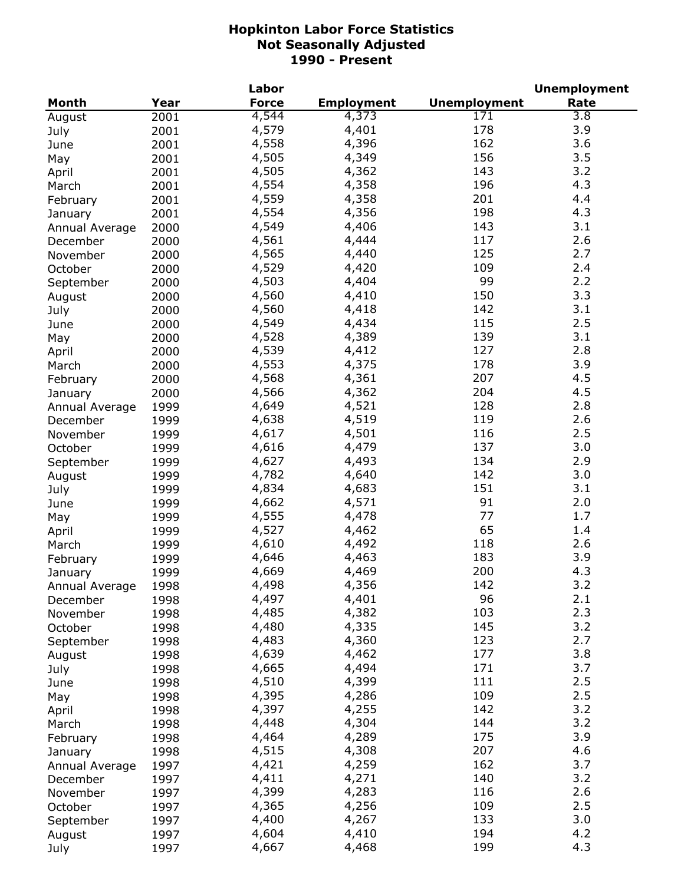|                |      | Labor        |                   |                     | <b>Unemployment</b> |
|----------------|------|--------------|-------------------|---------------------|---------------------|
| <b>Month</b>   | Year | <b>Force</b> | <b>Employment</b> | <b>Unemployment</b> | Rate                |
| August         | 2001 | 4,544        | 4,373             | $\overline{171}$    | 3.8                 |
| July           | 2001 | 4,579        | 4,401             | 178                 | 3.9                 |
| June           | 2001 | 4,558        | 4,396             | 162                 | 3.6                 |
| May            | 2001 | 4,505        | 4,349             | 156                 | 3.5                 |
| April          | 2001 | 4,505        | 4,362             | 143                 | 3.2                 |
| March          | 2001 | 4,554        | 4,358             | 196                 | 4.3                 |
| February       | 2001 | 4,559        | 4,358             | 201                 | 4.4                 |
| January        | 2001 | 4,554        | 4,356             | 198                 | 4.3                 |
|                | 2000 | 4,549        | 4,406             | 143                 | 3.1                 |
| Annual Average |      | 4,561        | 4,444             | 117                 | 2.6                 |
| December       | 2000 | 4,565        | 4,440             | 125                 | 2.7                 |
| November       | 2000 | 4,529        |                   | 109                 |                     |
| October        | 2000 |              | 4,420             |                     | 2.4                 |
| September      | 2000 | 4,503        | 4,404             | 99                  | 2.2                 |
| August         | 2000 | 4,560        | 4,410             | 150                 | 3.3                 |
| July           | 2000 | 4,560        | 4,418             | 142                 | 3.1                 |
| June           | 2000 | 4,549        | 4,434             | 115                 | 2.5                 |
| May            | 2000 | 4,528        | 4,389             | 139                 | 3.1                 |
| April          | 2000 | 4,539        | 4,412             | 127                 | 2.8                 |
| March          | 2000 | 4,553        | 4,375             | 178                 | 3.9                 |
| February       | 2000 | 4,568        | 4,361             | 207                 | 4.5                 |
| January        | 2000 | 4,566        | 4,362             | 204                 | 4.5                 |
| Annual Average | 1999 | 4,649        | 4,521             | 128                 | 2.8                 |
| December       | 1999 | 4,638        | 4,519             | 119                 | 2.6                 |
| November       | 1999 | 4,617        | 4,501             | 116                 | 2.5                 |
| October        | 1999 | 4,616        | 4,479             | 137                 | 3.0                 |
| September      | 1999 | 4,627        | 4,493             | 134                 | 2.9                 |
| August         | 1999 | 4,782        | 4,640             | 142                 | 3.0                 |
| July           | 1999 | 4,834        | 4,683             | 151                 | 3.1                 |
| June           | 1999 | 4,662        | 4,571             | 91                  | 2.0                 |
| May            | 1999 | 4,555        | 4,478             | 77                  | 1.7                 |
| April          | 1999 | 4,527        | 4,462             | 65                  | 1.4                 |
| March          | 1999 | 4,610        | 4,492             | 118                 | 2.6                 |
| February       | 1999 | 4,646        | 4,463             | 183                 | 3.9                 |
| January        | 1999 | 4,669        | 4,469             | 200                 | 4.3                 |
| Annual Average | 1998 | 4,498        | 4,356             | 142                 | 3.2                 |
| December       | 1998 | 4,497        | 4,401             | 96                  | 2.1                 |
| November       | 1998 | 4,485        | 4,382             | 103                 | 2.3                 |
| October        | 1998 | 4,480        | 4,335             | 145                 | 3.2                 |
| September      | 1998 | 4,483        | 4,360             | 123                 | 2.7                 |
|                | 1998 | 4,639        | 4,462             | 177                 | 3.8                 |
| August         |      | 4,665        | 4,494             | 171                 | 3.7                 |
| July           | 1998 | 4,510        |                   | 111                 | 2.5                 |
| June           | 1998 |              | 4,399             | 109                 |                     |
| May            | 1998 | 4,395        | 4,286             |                     | 2.5                 |
| April          | 1998 | 4,397        | 4,255             | 142                 | 3.2                 |
| March          | 1998 | 4,448        | 4,304             | 144                 | 3.2                 |
| February       | 1998 | 4,464        | 4,289             | 175                 | 3.9                 |
| January        | 1998 | 4,515        | 4,308             | 207                 | 4.6                 |
| Annual Average | 1997 | 4,421        | 4,259             | 162                 | 3.7                 |
| December       | 1997 | 4,411        | 4,271             | 140                 | 3.2                 |
| November       | 1997 | 4,399        | 4,283             | 116                 | 2.6                 |
| October        | 1997 | 4,365        | 4,256             | 109                 | 2.5                 |
| September      | 1997 | 4,400        | 4,267             | 133                 | 3.0                 |
| August         | 1997 | 4,604        | 4,410             | 194                 | 4.2                 |
| July           | 1997 | 4,667        | 4,468             | 199                 | 4.3                 |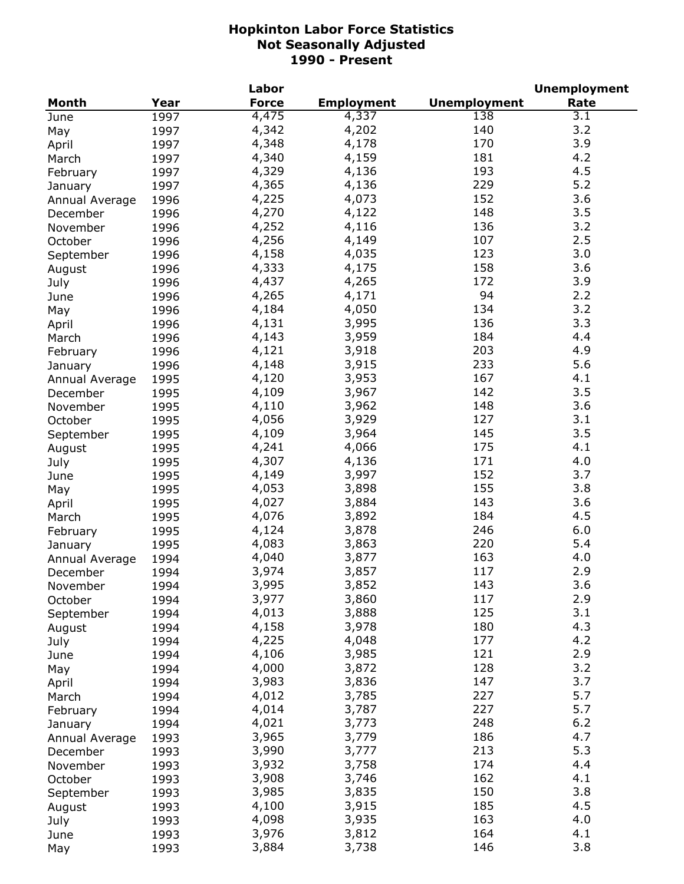|                |      | Labor          |                   |                     | <b>Unemployment</b> |
|----------------|------|----------------|-------------------|---------------------|---------------------|
| <b>Month</b>   | Year | <b>Force</b>   | <b>Employment</b> | <b>Unemployment</b> | Rate                |
| June           | 1997 | 4,475          | 4,337             | 138                 | 3.1                 |
| May            | 1997 | 4,342          | 4,202             | 140                 | 3.2                 |
| April          | 1997 | 4,348          | 4,178             | 170                 | 3.9                 |
| March          | 1997 | 4,340          | 4,159             | 181                 | 4.2                 |
| February       | 1997 | 4,329          | 4,136             | 193                 | 4.5                 |
| January        | 1997 | 4,365          | 4,136             | 229                 | 5.2                 |
| Annual Average | 1996 | 4,225          | 4,073             | 152                 | 3.6                 |
| December       | 1996 | 4,270          | 4,122             | 148                 | 3.5                 |
| November       | 1996 | 4,252          | 4,116             | 136                 | 3.2                 |
| October        | 1996 | 4,256          | 4,149             | 107                 | 2.5                 |
|                |      | 4,158          | 4,035             | 123                 | 3.0                 |
| September      | 1996 | 4,333          | 4,175             | 158                 | 3.6                 |
| August         | 1996 |                |                   | 172                 | 3.9                 |
| July           | 1996 | 4,437          | 4,265             |                     |                     |
| June           | 1996 | 4,265          | 4,171             | 94                  | 2.2                 |
| May            | 1996 | 4,184          | 4,050             | 134                 | 3.2                 |
| April          | 1996 | 4,131          | 3,995             | 136                 | 3.3                 |
| March          | 1996 | 4,143          | 3,959             | 184                 | 4.4                 |
| February       | 1996 | 4,121          | 3,918             | 203                 | 4.9                 |
| January        | 1996 | 4,148          | 3,915             | 233                 | 5.6                 |
| Annual Average | 1995 | 4,120          | 3,953             | 167                 | 4.1                 |
| December       | 1995 | 4,109          | 3,967             | 142                 | 3.5                 |
| November       | 1995 | 4,110          | 3,962             | 148                 | 3.6                 |
| October        | 1995 | 4,056          | 3,929             | 127                 | 3.1                 |
| September      | 1995 | 4,109          | 3,964             | 145                 | 3.5                 |
| August         | 1995 | 4,241          | 4,066             | 175                 | 4.1                 |
| July           | 1995 | 4,307          | 4,136             | 171                 | 4.0                 |
| June           | 1995 | 4,149          | 3,997             | 152                 | 3.7                 |
| May            | 1995 | 4,053          | 3,898             | 155                 | 3.8                 |
| April          | 1995 | 4,027          | 3,884             | 143                 | 3.6                 |
| March          | 1995 | 4,076          | 3,892             | 184                 | 4.5                 |
| February       | 1995 | 4,124          | 3,878             | 246                 | 6.0                 |
| January        | 1995 | 4,083          | 3,863             | 220                 | 5.4                 |
| Annual Average | 1994 | 4,040          | 3,877             | 163                 | 4.0                 |
| December       | 1994 | 3,974          | 3,857             | 117                 | 2.9                 |
| November       | 1994 | 3,995          | 3,852             | 143                 | 3.6                 |
| October        | 1994 | 3,977          | 3,860             | 117                 | 2.9                 |
|                | 1994 | 4,013          | 3,888             | 125                 | 3.1                 |
| September      |      | 4,158          | 3,978             | 180                 | 4.3                 |
| August         | 1994 |                |                   | 177                 | 4.2                 |
| July           | 1994 | 4,225<br>4,106 | 4,048<br>3,985    | 121                 | 2.9                 |
| June           | 1994 |                |                   | 128                 | 3.2                 |
| May            | 1994 | 4,000          | 3,872             |                     |                     |
| April          | 1994 | 3,983          | 3,836             | 147                 | 3.7                 |
| March          | 1994 | 4,012          | 3,785             | 227                 | 5.7                 |
| February       | 1994 | 4,014          | 3,787             | 227                 | 5.7                 |
| January        | 1994 | 4,021          | 3,773             | 248                 | 6.2                 |
| Annual Average | 1993 | 3,965          | 3,779             | 186                 | 4.7                 |
| December       | 1993 | 3,990          | 3,777             | 213                 | 5.3                 |
| November       | 1993 | 3,932          | 3,758             | 174                 | 4.4                 |
| October        | 1993 | 3,908          | 3,746             | 162                 | 4.1                 |
| September      | 1993 | 3,985          | 3,835             | 150                 | 3.8                 |
| August         | 1993 | 4,100          | 3,915             | 185                 | 4.5                 |
| July           | 1993 | 4,098          | 3,935             | 163                 | 4.0                 |
| June           | 1993 | 3,976          | 3,812             | 164                 | 4.1                 |
| May            | 1993 | 3,884          | 3,738             | 146                 | 3.8                 |